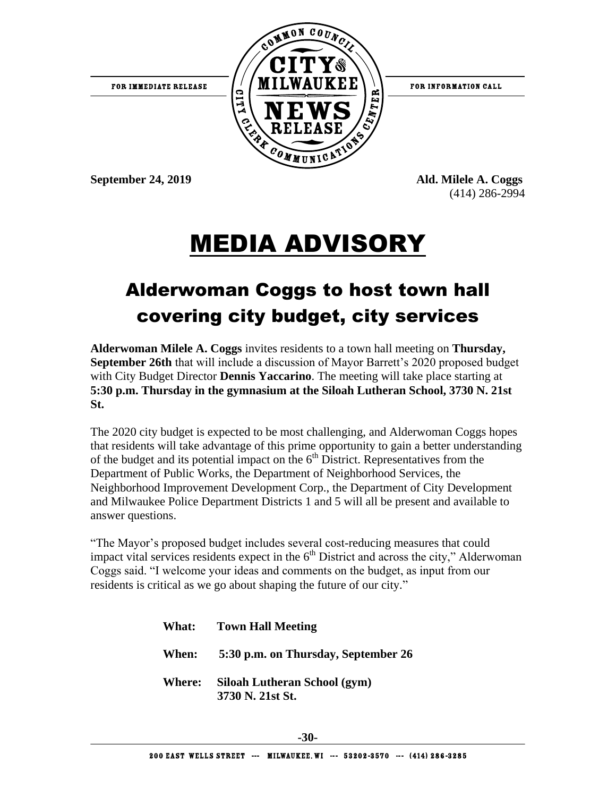

(414) 286-2994

### MEDIA ADVISORY

#### Alderwoman Coggs to host town hall covering city budget, city services

**Alderwoman Milele A. Coggs** invites residents to a town hall meeting on **Thursday, September 26th** that will include a discussion of Mayor Barrett's 2020 proposed budget with City Budget Director **Dennis Yaccarino**. The meeting will take place starting at **5:30 p.m. Thursday in the gymnasium at the Siloah Lutheran School, 3730 N. 21st St.**

The 2020 city budget is expected to be most challenging, and Alderwoman Coggs hopes that residents will take advantage of this prime opportunity to gain a better understanding of the budget and its potential impact on the  $6<sup>th</sup>$  District. Representatives from the Department of Public Works, the Department of Neighborhood Services, the Neighborhood Improvement Development Corp., the Department of City Development and Milwaukee Police Department Districts 1 and 5 will all be present and available to answer questions.

"The Mayor's proposed budget includes several cost-reducing measures that could impact vital services residents expect in the  $6<sup>th</sup>$  District and across the city," Alderwoman Coggs said. "I welcome your ideas and comments on the budget, as input from our residents is critical as we go about shaping the future of our city."

| <b>What:</b> Town Hall Meeting                          |
|---------------------------------------------------------|
| When: 5:30 p.m. on Thursday, September 26               |
| Where: Siloah Lutheran School (gym)<br>3730 N. 21st St. |